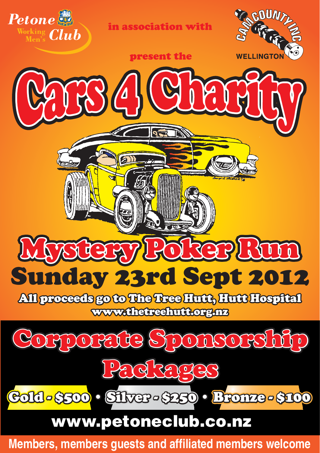

in association with



present the

 $\mathbf{Q}_1$ 

al

## Sunday 23rd Sept 2012 DREEP LATIN

All proceeds go to The Tree Hutt, Hutt Hospital www.thetreehutt.org.nz



## www.petoneclub.co.nz

**Members, members guests and affiliated members welcome**